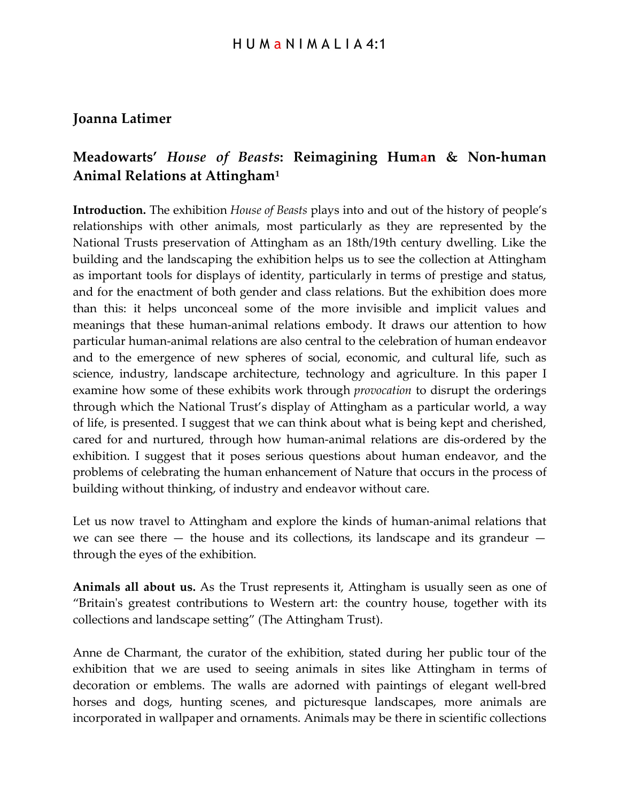## **Joanna Latimer**

# **Meadowarts'** *House of Beasts***: Reimagining Human & Non-human Animal Relations at Attingham1**

**Introduction.** The exhibition *House of Beasts* plays into and out of the history of people's relationships with other animals, most particularly as they are represented by the National Trusts preservation of Attingham as an 18th/19th century dwelling. Like the building and the landscaping the exhibition helps us to see the collection at Attingham as important tools for displays of identity, particularly in terms of prestige and status, and for the enactment of both gender and class relations. But the exhibition does more than this: it helps unconceal some of the more invisible and implicit values and meanings that these human-animal relations embody. It draws our attention to how particular human-animal relations are also central to the celebration of human endeavor and to the emergence of new spheres of social, economic, and cultural life, such as science, industry, landscape architecture, technology and agriculture. In this paper I examine how some of these exhibits work through *provocation* to disrupt the orderings through which the National Trust's display of Attingham as a particular world, a way of life, is presented. I suggest that we can think about what is being kept and cherished, cared for and nurtured, through how human-animal relations are dis-ordered by the exhibition. I suggest that it poses serious questions about human endeavor, and the problems of celebrating the human enhancement of Nature that occurs in the process of building without thinking, of industry and endeavor without care.

Let us now travel to Attingham and explore the kinds of human-animal relations that we can see there  $-$  the house and its collections, its landscape and its grandeur  $$ through the eyes of the exhibition.

**Animals all about us.** As the Trust represents it, Attingham is usually seen as one of "Britain's greatest contributions to Western art: the country house, together with its collections and landscape setting" (The Attingham Trust).

Anne de Charmant, the curator of the exhibition, stated during her public tour of the exhibition that we are used to seeing animals in sites like Attingham in terms of decoration or emblems. The walls are adorned with paintings of elegant well-bred horses and dogs, hunting scenes, and picturesque landscapes, more animals are incorporated in wallpaper and ornaments. Animals may be there in scientific collections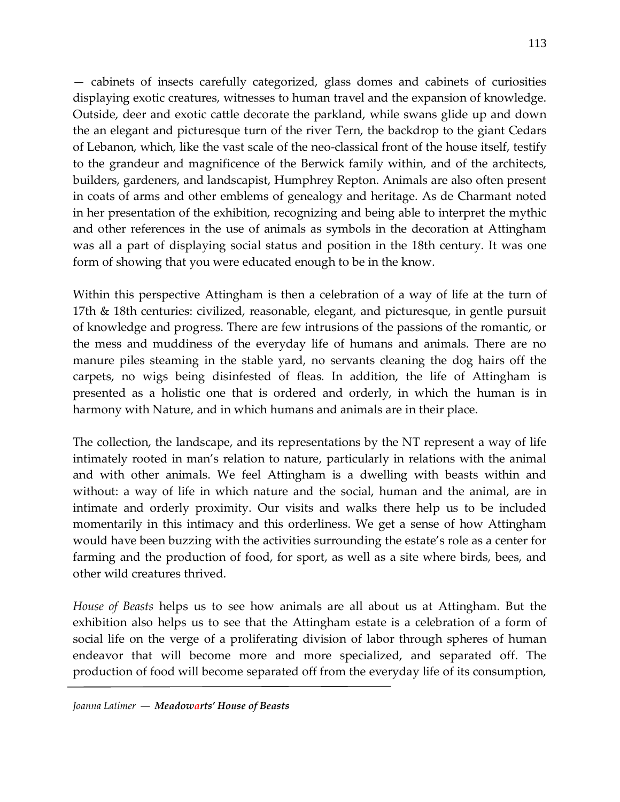— cabinets of insects carefully categorized, glass domes and cabinets of curiosities displaying exotic creatures, witnesses to human travel and the expansion of knowledge. Outside, deer and exotic cattle decorate the parkland, while swans glide up and down the an elegant and picturesque turn of the river Tern, the backdrop to the giant Cedars of Lebanon, which, like the vast scale of the neo-classical front of the house itself, testify to the grandeur and magnificence of the Berwick family within, and of the architects, builders, gardeners, and landscapist, Humphrey Repton. Animals are also often present in coats of arms and other emblems of genealogy and heritage. As de Charmant noted in her presentation of the exhibition, recognizing and being able to interpret the mythic and other references in the use of animals as symbols in the decoration at Attingham was all a part of displaying social status and position in the 18th century. It was one form of showing that you were educated enough to be in the know.

Within this perspective Attingham is then a celebration of a way of life at the turn of 17th & 18th centuries: civilized, reasonable, elegant, and picturesque, in gentle pursuit of knowledge and progress. There are few intrusions of the passions of the romantic, or the mess and muddiness of the everyday life of humans and animals. There are no manure piles steaming in the stable yard, no servants cleaning the dog hairs off the carpets, no wigs being disinfested of fleas. In addition, the life of Attingham is presented as a holistic one that is ordered and orderly, in which the human is in harmony with Nature, and in which humans and animals are in their place.

The collection, the landscape, and its representations by the NT represent a way of life intimately rooted in man's relation to nature, particularly in relations with the animal and with other animals. We feel Attingham is a dwelling with beasts within and without: a way of life in which nature and the social, human and the animal, are in intimate and orderly proximity. Our visits and walks there help us to be included momentarily in this intimacy and this orderliness. We get a sense of how Attingham would have been buzzing with the activities surrounding the estate's role as a center for farming and the production of food, for sport, as well as a site where birds, bees, and other wild creatures thrived.

*House of Beasts* helps us to see how animals are all about us at Attingham. But the exhibition also helps us to see that the Attingham estate is a celebration of a form of social life on the verge of a proliferating division of labor through spheres of human endeavor that will become more and more specialized, and separated off. The production of food will become separated off from the everyday life of its consumption,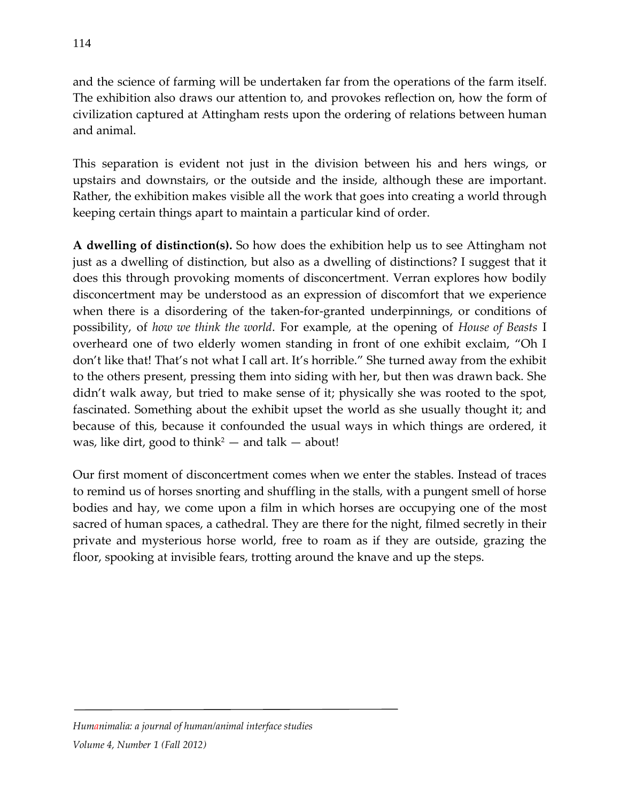and the science of farming will be undertaken far from the operations of the farm itself. The exhibition also draws our attention to, and provokes reflection on, how the form of civilization captured at Attingham rests upon the ordering of relations between human and animal.

This separation is evident not just in the division between his and hers wings, or upstairs and downstairs, or the outside and the inside, although these are important. Rather, the exhibition makes visible all the work that goes into creating a world through keeping certain things apart to maintain a particular kind of order.

**A dwelling of distinction(s).** So how does the exhibition help us to see Attingham not just as a dwelling of distinction, but also as a dwelling of distinctions? I suggest that it does this through provoking moments of disconcertment. Verran explores how bodily disconcertment may be understood as an expression of discomfort that we experience when there is a disordering of the taken-for-granted underpinnings, or conditions of possibility, of *how we think the world*. For example, at the opening of *House of Beasts* I overheard one of two elderly women standing in front of one exhibit exclaim, "Oh I don't like that! That's not what I call art. It's horrible." She turned away from the exhibit to the others present, pressing them into siding with her, but then was drawn back. She didn't walk away, but tried to make sense of it; physically she was rooted to the spot, fascinated. Something about the exhibit upset the world as she usually thought it; and because of this, because it confounded the usual ways in which things are ordered, it was, like dirt, good to think<sup>2</sup>  $-$  and talk  $-$  about!

Our first moment of disconcertment comes when we enter the stables. Instead of traces to remind us of horses snorting and shuffling in the stalls, with a pungent smell of horse bodies and hay, we come upon a film in which horses are occupying one of the most sacred of human spaces, a cathedral. They are there for the night, filmed secretly in their private and mysterious horse world, free to roam as if they are outside, grazing the floor, spooking at invisible fears, trotting around the knave and up the steps.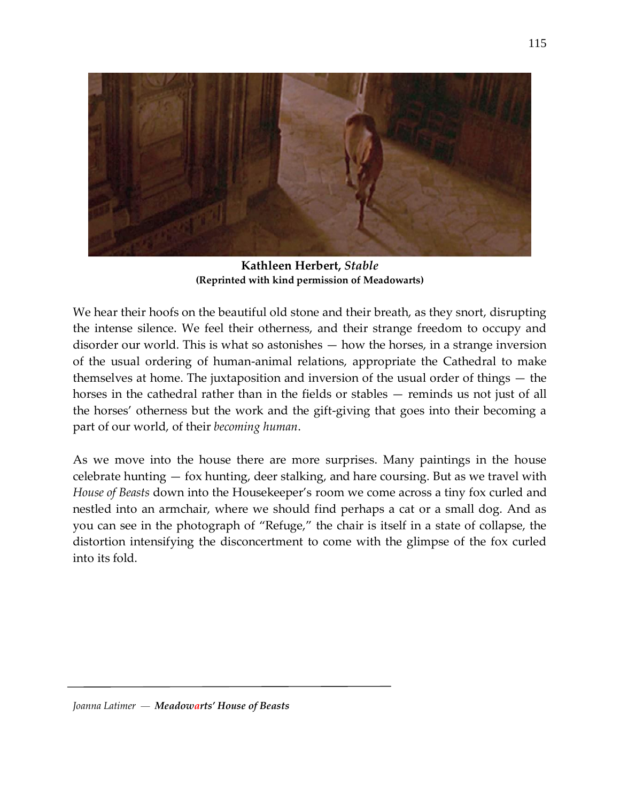

**Kathleen Herbert,** *Stable* **(Reprinted with kind permission of Meadowarts)**

We hear their hoofs on the beautiful old stone and their breath, as they snort, disrupting the intense silence. We feel their otherness, and their strange freedom to occupy and disorder our world. This is what so astonishes — how the horses, in a strange inversion of the usual ordering of human-animal relations, appropriate the Cathedral to make themselves at home. The juxtaposition and inversion of the usual order of things — the horses in the cathedral rather than in the fields or stables — reminds us not just of all the horses' otherness but the work and the gift-giving that goes into their becoming a part of our world, of their *becoming human*.

As we move into the house there are more surprises. Many paintings in the house celebrate hunting — fox hunting, deer stalking, and hare coursing. But as we travel with *House of Beasts* down into the Housekeeper's room we come across a tiny fox curled and nestled into an armchair, where we should find perhaps a cat or a small dog. And as you can see in the photograph of "Refuge," the chair is itself in a state of collapse, the distortion intensifying the disconcertment to come with the glimpse of the fox curled into its fold.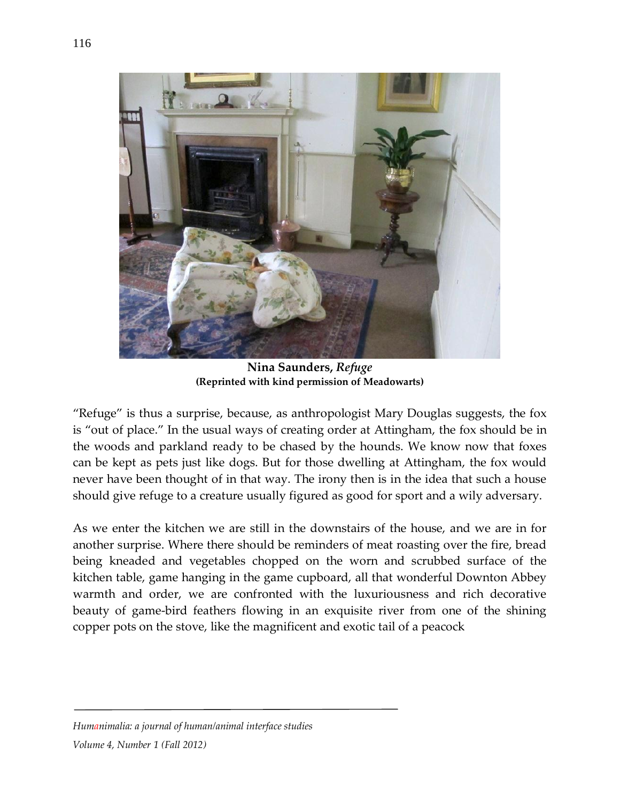

**Nina Saunders,** *Refuge* **(Reprinted with kind permission of Meadowarts)**

"Refuge" is thus a surprise, because, as anthropologist Mary Douglas suggests, the fox is "out of place." In the usual ways of creating order at Attingham, the fox should be in the woods and parkland ready to be chased by the hounds. We know now that foxes can be kept as pets just like dogs. But for those dwelling at Attingham, the fox would never have been thought of in that way. The irony then is in the idea that such a house should give refuge to a creature usually figured as good for sport and a wily adversary.

As we enter the kitchen we are still in the downstairs of the house, and we are in for another surprise. Where there should be reminders of meat roasting over the fire, bread being kneaded and vegetables chopped on the worn and scrubbed surface of the kitchen table, game hanging in the game cupboard, all that wonderful Downton Abbey warmth and order, we are confronted with the luxuriousness and rich decorative beauty of game-bird feathers flowing in an exquisite river from one of the shining copper pots on the stove, like the magnificent and exotic tail of a peacock

### *Humanimalia: a journal of human/animal interface studies Volume 4, Number 1 (Fall 2012)*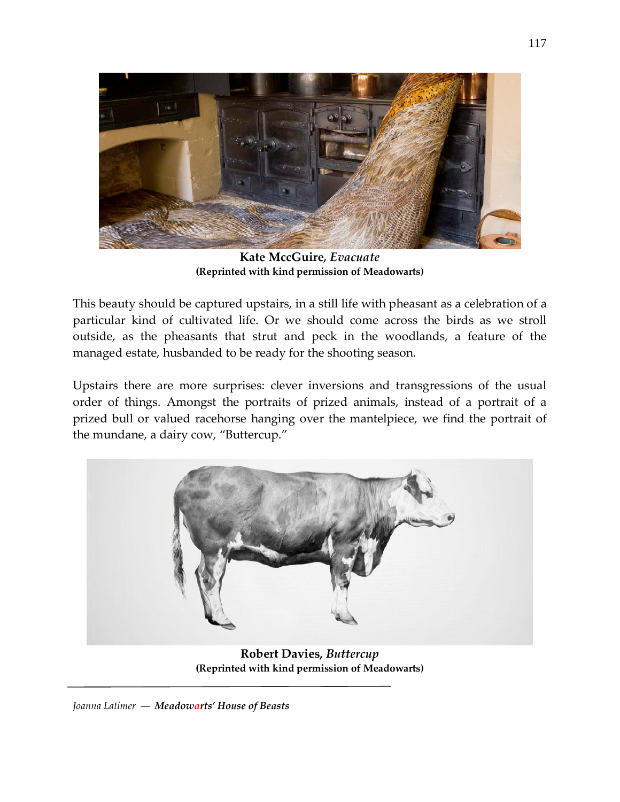

**Kate MccGuire***, Evacuate* **(Reprinted with kind permission of Meadowarts)**

This beauty should be captured upstairs, in a still life with pheasant as a celebration of a particular kind of cultivated life. Or we should come across the birds as we stroll outside, as the pheasants that strut and peck in the woodlands, a feature of the managed estate, husbanded to be ready for the shooting season.

Upstairs there are more surprises: clever inversions and transgressions of the usual order of things. Amongst the portraits of prized animals, instead of a portrait of a prized bull or valued racehorse hanging over the mantelpiece, we find the portrait of the mundane, a dairy cow, "Buttercup."



**Robert Davies,** *Buttercup* **(Reprinted with kind permission of Meadowarts)**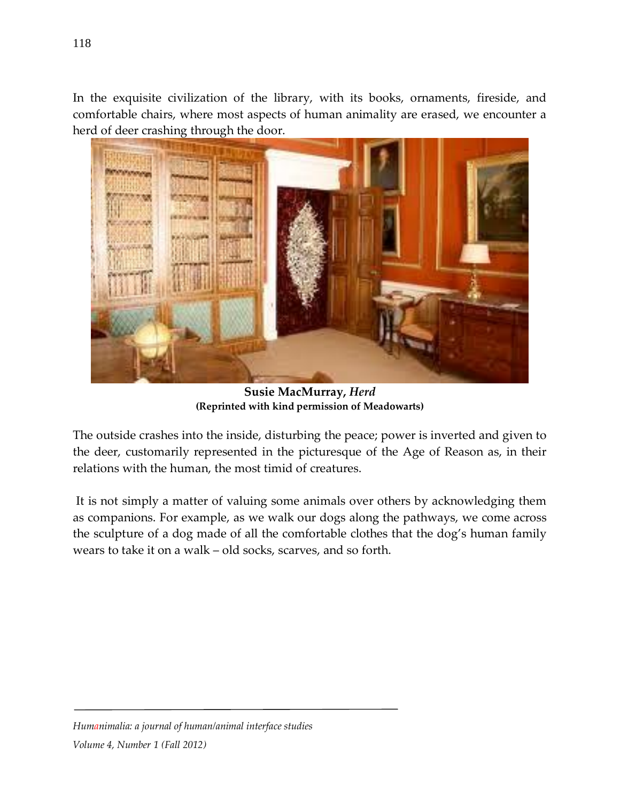In the exquisite civilization of the library, with its books, ornaments, fireside, and comfortable chairs, where most aspects of human animality are erased, we encounter a herd of deer crashing through the door.



**Susie MacMurray,** *Herd* **(Reprinted with kind permission of Meadowarts)**

The outside crashes into the inside, disturbing the peace; power is inverted and given to the deer, customarily represented in the picturesque of the Age of Reason as, in their relations with the human, the most timid of creatures.

It is not simply a matter of valuing some animals over others by acknowledging them as companions. For example, as we walk our dogs along the pathways, we come across the sculpture of a dog made of all the comfortable clothes that the dog's human family wears to take it on a walk – old socks, scarves, and so forth.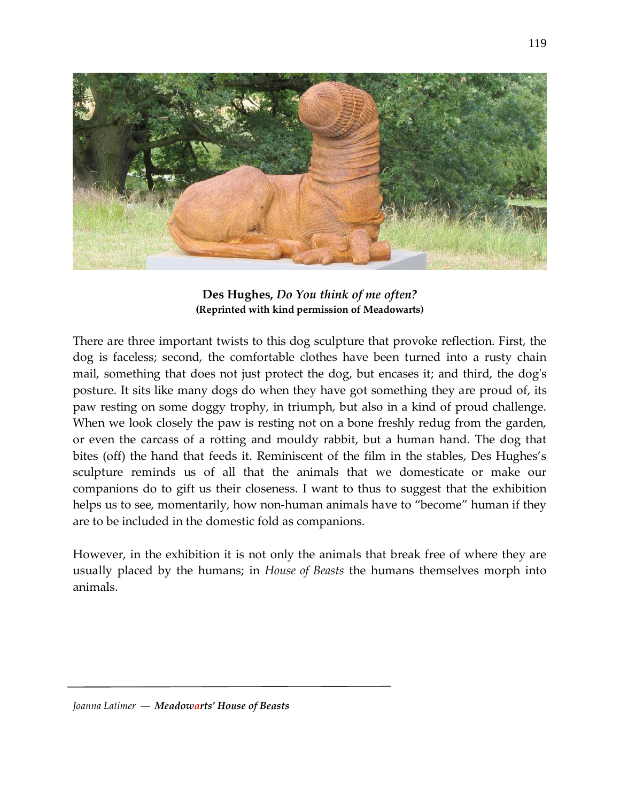

**Des Hughes,** *Do You think of me often?* **(Reprinted with kind permission of Meadowarts)**

There are three important twists to this dog sculpture that provoke reflection. First, the dog is faceless; second, the comfortable clothes have been turned into a rusty chain mail, something that does not just protect the dog, but encases it; and third, the dog's posture. It sits like many dogs do when they have got something they are proud of, its paw resting on some doggy trophy, in triumph, but also in a kind of proud challenge. When we look closely the paw is resting not on a bone freshly redug from the garden, or even the carcass of a rotting and mouldy rabbit, but a human hand. The dog that bites (off) the hand that feeds it. Reminiscent of the film in the stables, Des Hughes's sculpture reminds us of all that the animals that we domesticate or make our companions do to gift us their closeness. I want to thus to suggest that the exhibition helps us to see, momentarily, how non-human animals have to "become" human if they are to be included in the domestic fold as companions.

However, in the exhibition it is not only the animals that break free of where they are usually placed by the humans; in *House of Beasts* the humans themselves morph into animals.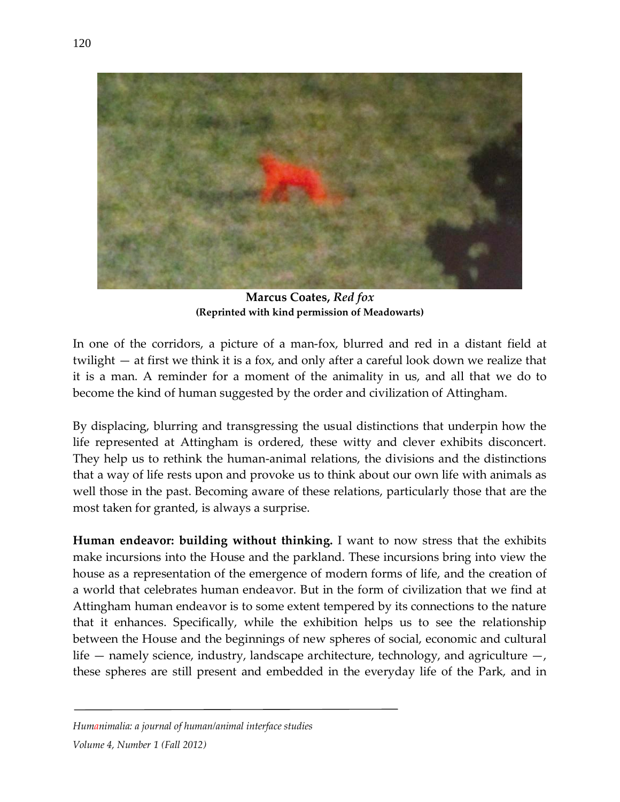

**Marcus Coates,** *Red fox* **(Reprinted with kind permission of Meadowarts)**

In one of the corridors, a picture of a man-fox, blurred and red in a distant field at twilight — at first we think it is a fox, and only after a careful look down we realize that it is a man. A reminder for a moment of the animality in us, and all that we do to become the kind of human suggested by the order and civilization of Attingham.

By displacing, blurring and transgressing the usual distinctions that underpin how the life represented at Attingham is ordered, these witty and clever exhibits disconcert. They help us to rethink the human-animal relations, the divisions and the distinctions that a way of life rests upon and provoke us to think about our own life with animals as well those in the past. Becoming aware of these relations, particularly those that are the most taken for granted, is always a surprise.

**Human endeavor: building without thinking.** I want to now stress that the exhibits make incursions into the House and the parkland. These incursions bring into view the house as a representation of the emergence of modern forms of life, and the creation of a world that celebrates human endeavor. But in the form of civilization that we find at Attingham human endeavor is to some extent tempered by its connections to the nature that it enhances. Specifically, while the exhibition helps us to see the relationship between the House and the beginnings of new spheres of social, economic and cultural life  $-$  namely science, industry, landscape architecture, technology, and agriculture  $-$ , these spheres are still present and embedded in the everyday life of the Park, and in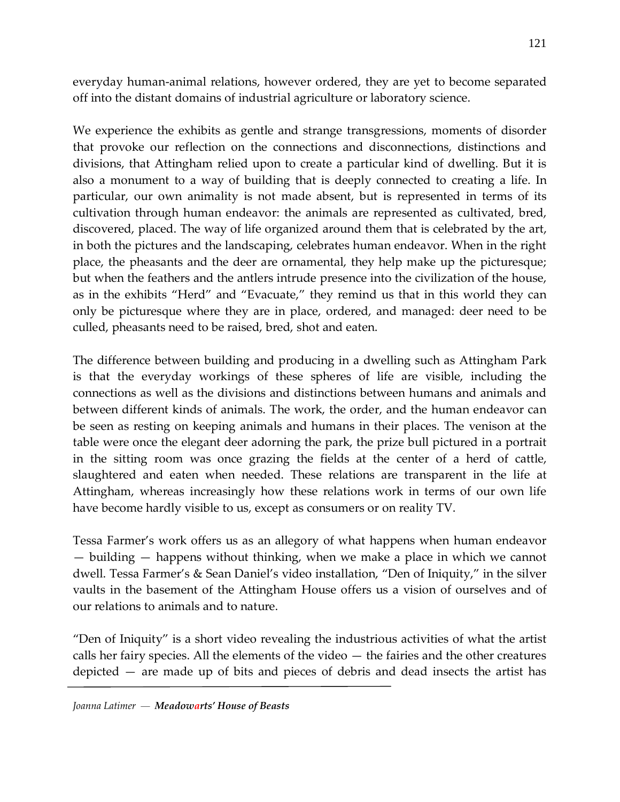everyday human-animal relations, however ordered, they are yet to become separated off into the distant domains of industrial agriculture or laboratory science.

We experience the exhibits as gentle and strange transgressions, moments of disorder that provoke our reflection on the connections and disconnections, distinctions and divisions, that Attingham relied upon to create a particular kind of dwelling. But it is also a monument to a way of building that is deeply connected to creating a life. In particular, our own animality is not made absent, but is represented in terms of its cultivation through human endeavor: the animals are represented as cultivated, bred, discovered, placed. The way of life organized around them that is celebrated by the art, in both the pictures and the landscaping, celebrates human endeavor. When in the right place, the pheasants and the deer are ornamental, they help make up the picturesque; but when the feathers and the antlers intrude presence into the civilization of the house, as in the exhibits "Herd" and "Evacuate," they remind us that in this world they can only be picturesque where they are in place, ordered, and managed: deer need to be culled, pheasants need to be raised, bred, shot and eaten.

The difference between building and producing in a dwelling such as Attingham Park is that the everyday workings of these spheres of life are visible, including the connections as well as the divisions and distinctions between humans and animals and between different kinds of animals. The work, the order, and the human endeavor can be seen as resting on keeping animals and humans in their places. The venison at the table were once the elegant deer adorning the park, the prize bull pictured in a portrait in the sitting room was once grazing the fields at the center of a herd of cattle, slaughtered and eaten when needed. These relations are transparent in the life at Attingham, whereas increasingly how these relations work in terms of our own life have become hardly visible to us, except as consumers or on reality TV.

Tessa Farmer's work offers us as an allegory of what happens when human endeavor — building — happens without thinking, when we make a place in which we cannot dwell. Tessa Farmer's & Sean Daniel's video installation, "Den of Iniquity," in the silver vaults in the basement of the Attingham House offers us a vision of ourselves and of our relations to animals and to nature.

"Den of Iniquity" is a short video revealing the industrious activities of what the artist calls her fairy species. All the elements of the video  $-$  the fairies and the other creatures depicted — are made up of bits and pieces of debris and dead insects the artist has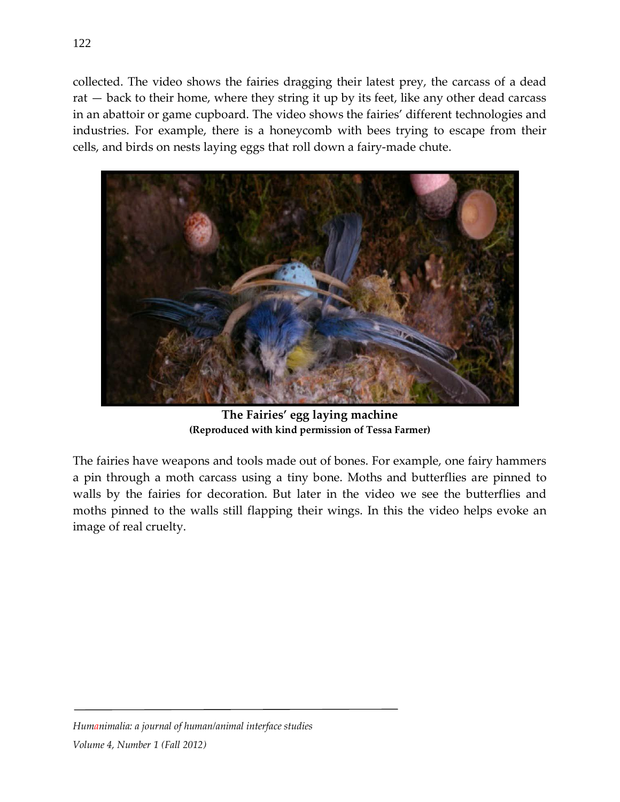collected. The video shows the fairies dragging their latest prey, the carcass of a dead rat — back to their home, where they string it up by its feet, like any other dead carcass in an abattoir or game cupboard. The video shows the fairies' different technologies and industries. For example, there is a honeycomb with bees trying to escape from their cells, and birds on nests laying eggs that roll down a fairy-made chute.



**The Fairies' egg laying machine (Reproduced with kind permission of Tessa Farmer)**

The fairies have weapons and tools made out of bones. For example, one fairy hammers a pin through a moth carcass using a tiny bone. Moths and butterflies are pinned to walls by the fairies for decoration. But later in the video we see the butterflies and moths pinned to the walls still flapping their wings. In this the video helps evoke an image of real cruelty.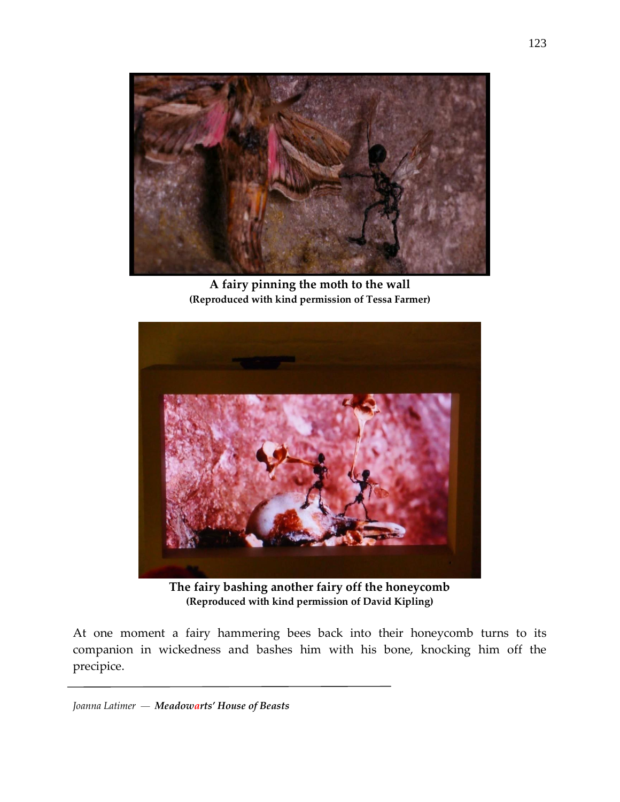

**A fairy pinning the moth to the wall (Reproduced with kind permission of Tessa Farmer)**



**The fairy bashing another fairy off the honeycomb (Reproduced with kind permission of David Kipling)**

At one moment a fairy hammering bees back into their honeycomb turns to its companion in wickedness and bashes him with his bone, knocking him off the precipice.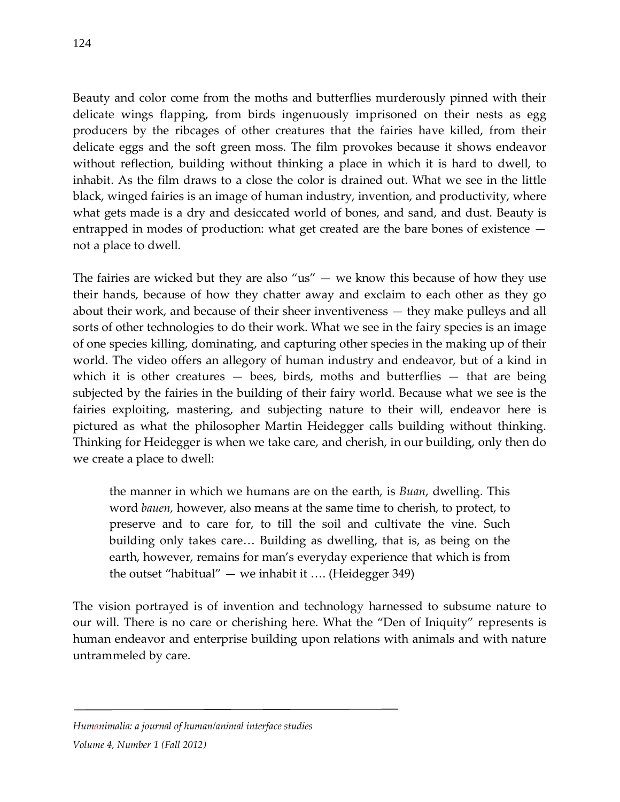Beauty and color come from the moths and butterflies murderously pinned with their delicate wings flapping, from birds ingenuously imprisoned on their nests as egg producers by the ribcages of other creatures that the fairies have killed, from their delicate eggs and the soft green moss. The film provokes because it shows endeavor without reflection, building without thinking a place in which it is hard to dwell, to inhabit. As the film draws to a close the color is drained out. What we see in the little black, winged fairies is an image of human industry, invention, and productivity, where what gets made is a dry and desiccated world of bones, and sand, and dust. Beauty is entrapped in modes of production: what get created are the bare bones of existence not a place to dwell.

The fairies are wicked but they are also " $us$ "  $-$  we know this because of how they use their hands, because of how they chatter away and exclaim to each other as they go about their work, and because of their sheer inventiveness — they make pulleys and all sorts of other technologies to do their work. What we see in the fairy species is an image of one species killing, dominating, and capturing other species in the making up of their world. The video offers an allegory of human industry and endeavor, but of a kind in which it is other creatures  $-$  bees, birds, moths and butterflies  $-$  that are being subjected by the fairies in the building of their fairy world. Because what we see is the fairies exploiting, mastering, and subjecting nature to their will, endeavor here is pictured as what the philosopher Martin Heidegger calls building without thinking. Thinking for Heidegger is when we take care, and cherish, in our building, only then do we create a place to dwell:

the manner in which we humans are on the earth, is *Buan*, dwelling. This word *bauen,* however, also means at the same time to cherish, to protect, to preserve and to care for, to till the soil and cultivate the vine. Such building only takes care… Building as dwelling, that is, as being on the earth, however, remains for man's everyday experience that which is from the outset "habitual" — we inhabit it …. (Heidegger 349)

The vision portrayed is of invention and technology harnessed to subsume nature to our will. There is no care or cherishing here. What the "Den of Iniquity" represents is human endeavor and enterprise building upon relations with animals and with nature untrammeled by care.

#### *Humanimalia: a journal of human/animal interface studies*

*Volume 4, Number 1 (Fall 2012)*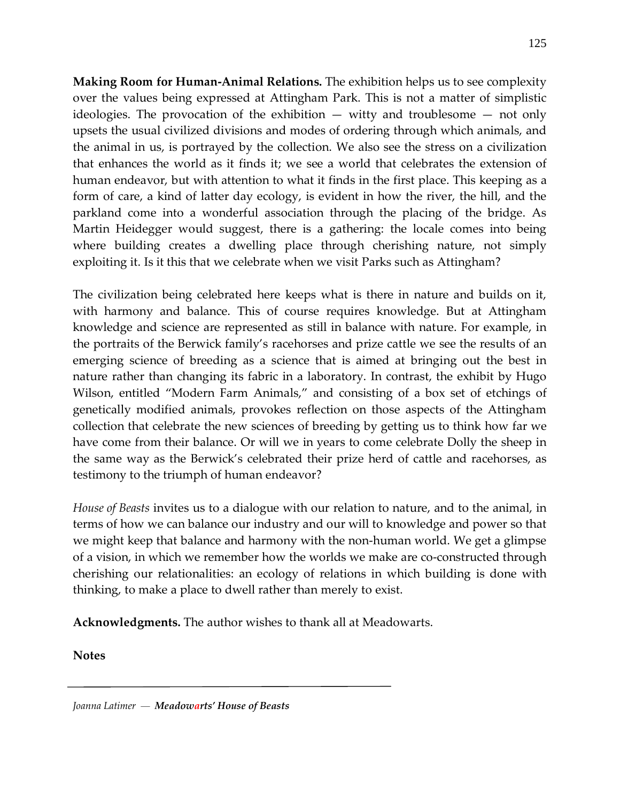**Making Room for Human-Animal Relations.** The exhibition helps us to see complexity over the values being expressed at Attingham Park. This is not a matter of simplistic ideologies. The provocation of the exhibition — witty and troublesome — not only upsets the usual civilized divisions and modes of ordering through which animals, and the animal in us, is portrayed by the collection. We also see the stress on a civilization that enhances the world as it finds it; we see a world that celebrates the extension of human endeavor, but with attention to what it finds in the first place. This keeping as a form of care, a kind of latter day ecology, is evident in how the river, the hill, and the parkland come into a wonderful association through the placing of the bridge. As Martin Heidegger would suggest, there is a gathering: the locale comes into being where building creates a dwelling place through cherishing nature, not simply exploiting it. Is it this that we celebrate when we visit Parks such as Attingham?

The civilization being celebrated here keeps what is there in nature and builds on it, with harmony and balance. This of course requires knowledge. But at Attingham knowledge and science are represented as still in balance with nature. For example, in the portraits of the Berwick family's racehorses and prize cattle we see the results of an emerging science of breeding as a science that is aimed at bringing out the best in nature rather than changing its fabric in a laboratory. In contrast, the exhibit by Hugo Wilson, entitled "Modern Farm Animals," and consisting of a box set of etchings of genetically modified animals, provokes reflection on those aspects of the Attingham collection that celebrate the new sciences of breeding by getting us to think how far we have come from their balance. Or will we in years to come celebrate Dolly the sheep in the same way as the Berwick's celebrated their prize herd of cattle and racehorses, as testimony to the triumph of human endeavor?

*House of Beasts* invites us to a dialogue with our relation to nature, and to the animal, in terms of how we can balance our industry and our will to knowledge and power so that we might keep that balance and harmony with the non-human world. We get a glimpse of a vision, in which we remember how the worlds we make are co-constructed through cherishing our relationalities: an ecology of relations in which building is done with thinking, to make a place to dwell rather than merely to exist.

**Acknowledgments.** The author wishes to thank all at Meadowarts.

**Notes**